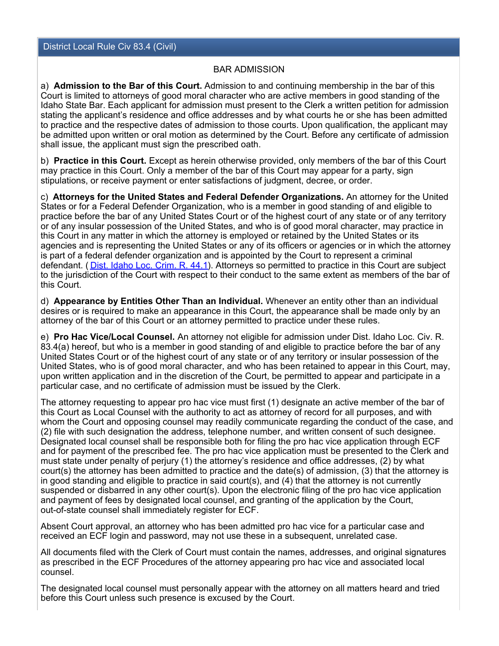## BAR ADMISSION

a) **Admission to the Bar of this Court.** Admission to and continuing membership in the bar of this Court is limited to attorneys of good moral character who are active members in good standing of the Idaho State Bar. Each applicant for admission must present to the Clerk a written petition for admission stating the applicant's residence and office addresses and by what courts he or she has been admitted to practice and the respective dates of admission to those courts. Upon qualification, the applicant may be admitted upon written or oral motion as determined by the Court. Before any certificate of admission shall issue, the applicant must sign the prescribed oath.

b) **Practice in this Court.** Except as herein otherwise provided, only members of the bar of this Court may practice in this Court. Only a member of the bar of this Court may appear for a party, sign stipulations, or receive payment or enter satisfactions of judgment, decree, or order.

c) **Attorneys for the United States and Federal Defender Organizations.** An attorney for the United States or for a Federal Defender Organization, who is a member in good standing of and eligible to practice before the bar of any United States Court or of the highest court of any state or of any territory or of any insular possession of the United States, and who is of good moral character, may practice in this Court in any matter in which the attorney is employed or retained by the United States or its agencies and is representing the United States or any of its officers or agencies or in which the attorney is part of a federal defender organization and is appointed by the Court to represent a criminal defendant. ( [Dist. Idaho Loc. Crim. R. 44.1](http://www.id.uscourts.gov/Content_Fetcher/?ID=1263)). Attorneys so permitted to practice in this Court are subject to the jurisdiction of the Court with respect to their conduct to the same extent as members of the bar of this Court.

d) **Appearance by Entities Other Than an Individual.** Whenever an entity other than an individual desires or is required to make an appearance in this Court, the appearance shall be made only by an attorney of the bar of this Court or an attorney permitted to practice under these rules.

e) **Pro Hac Vice/Local Counsel.** An attorney not eligible for admission under Dist. Idaho Loc. Civ. R. 83.4(a) hereof, but who is a member in good standing of and eligible to practice before the bar of any United States Court or of the highest court of any state or of any territory or insular possession of the United States, who is of good moral character, and who has been retained to appear in this Court, may, upon written application and in the discretion of the Court, be permitted to appear and participate in a particular case, and no certificate of admission must be issued by the Clerk.

The attorney requesting to appear pro hac vice must first (1) designate an active member of the bar of this Court as Local Counsel with the authority to act as attorney of record for all purposes, and with whom the Court and opposing counsel may readily communicate regarding the conduct of the case, and (2) file with such designation the address, telephone number, and written consent of such designee. Designated local counsel shall be responsible both for filing the pro hac vice application through ECF and for payment of the prescribed fee. The pro hac vice application must be presented to the Clerk and must state under penalty of perjury (1) the attorney's residence and office addresses, (2) by what court(s) the attorney has been admitted to practice and the date(s) of admission, (3) that the attorney is in good standing and eligible to practice in said court(s), and (4) that the attorney is not currently suspended or disbarred in any other court(s). Upon the electronic filing of the pro hac vice application and payment of fees by designated local counsel, and granting of the application by the Court, out-of-state counsel shall immediately register for ECF.

Absent Court approval, an attorney who has been admitted pro hac vice for a particular case and received an ECF login and password, may not use these in a subsequent, unrelated case.

All documents filed with the Clerk of Court must contain the names, addresses, and original signatures as prescribed in the ECF Procedures of the attorney appearing pro hac vice and associated local counsel.

The designated local counsel must personally appear with the attorney on all matters heard and tried before this Court unless such presence is excused by the Court.